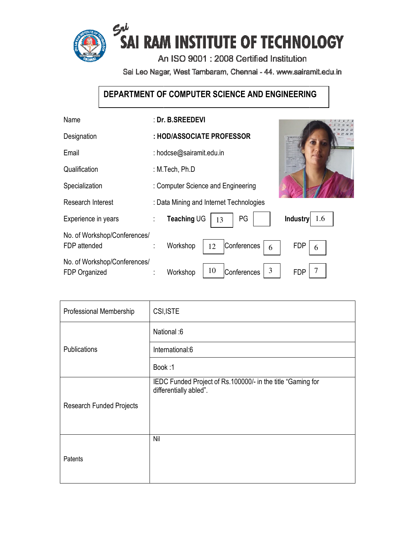

Sai Leo Nagar, West Tambaram, Chennai - 44. www.sairamit.edu.in

# **DEPARTMENT OF COMPUTER SCIENCE AND ENGINEERING COMPUTER**

| Name                                          | : Dr. B.SREEDEVI                                       |
|-----------------------------------------------|--------------------------------------------------------|
| Designation                                   | : HOD/ASSOCIATE PROFESSOR                              |
| Email                                         | : hodcse@sairamit.edu.in                               |
| Qualification                                 | : M.Tech, Ph.D                                         |
| Specialization                                | : Computer Science and Engineering                     |
| Research Interest                             | : Data Mining and Internet Technologies                |
| Experience in years                           | <b>Industry</b><br>Teaching UG<br>PG<br>1.6<br>÷<br>13 |
| No. of Workshop/Conferences/<br>FDP attended  | Conferences<br><b>FDP</b><br>Workshop<br>12<br>6<br>6  |
| No. of Workshop/Conferences/<br>FDP Organized | 3<br>10<br>Conferences<br><b>FDP</b><br>Workshop       |

| Professional Membership         | CSI, ISTE                                                                             |
|---------------------------------|---------------------------------------------------------------------------------------|
| Publications                    | National:6                                                                            |
|                                 | International:6                                                                       |
|                                 | Book:1                                                                                |
| <b>Research Funded Projects</b> | IEDC Funded Project of Rs.100000/- in the title "Gaming for<br>differentially abled". |
|                                 |                                                                                       |
|                                 |                                                                                       |
| Patents                         | Nil                                                                                   |
|                                 |                                                                                       |
|                                 |                                                                                       |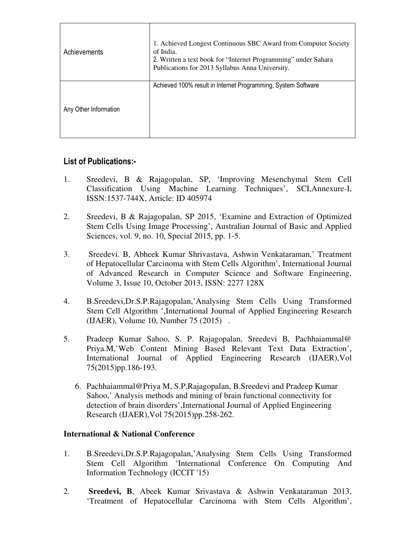| Achievements          | 1. Achieved Longest Continuous SBC Award from Computer Society<br>of India.<br>2. Written a text book for "Internet Programming" under Sahara<br>Publications for 2013 Syllabus Anna University. |
|-----------------------|--------------------------------------------------------------------------------------------------------------------------------------------------------------------------------------------------|
| Any Other Information | Achieved 100% result in Internet Programming, System Software                                                                                                                                    |

# **List of Publications:-**

- 1. Sreedevi, B & Rajagopalan, SP, 'Improving Mesenchymal Stem Cell Classification Using Machine Learning Techniques', SCI,Annexure-I, ISSN:1537-744X, Article: ID 405974
- 2. Sreedevi, B & Rajagopalan, SP 2015, 'Examine and Extraction of Optimized Stem Cells Using Image Processing', Australian Journal of Basic and Applied Sciences, vol. 9, no. 10, Special 2015, pp. 1-5.
- 3. Sreedevi. B, Abheek Kumar Shrivastava, Ashwin Venkataraman,' Treatment of Hepatocellular Carcinoma with Stem Cells Algorithm', International Journal of Advanced Research in Computer Science and Software Engineering, Volume 3, Issue 10, October 2013, ISSN: 2277 128X
- 4. B.Sreedevi,Dr.S.P.Rajagopalan,'Analysing Stem Cells Using Transformed Stem Cell Algorithm ',International Journal of Applied Engineering Research (IJAER), Volume 10, Number 75 (2015) .
- 5. Pradeep Kumar Sahoo, S. P. Rajagopalan, Sreedevi B, Pachhaiammal@ Priya.M,'Web Content Mining Based Relevant Text Data Extraction', International Journal of Applied Engineering Research (IJAER),Vol 75(2015)pp.186-193.
	- 6. Pachhaiammal@Priya M, S.P.Rajagopalan, B.Sreedevi and Pradeep Kumar Sahoo,' Analysis methods and mining of brain functional connectivity for detection of brain disorders',International Journal of Applied Engineering Research (IJAER),Vol 75(2015)pp.258-262.

# **International & National Conference**

- 1. B.Sreedevi,Dr.S.P.Rajagopalan,'Analysing Stem Cells Using Transformed Stem Cell Algorithm 'International Conference On Computing And Information Technology (ICCIT '15)
- 2. **Sreedevi, B**, Abeek Kumar Srivastava & Ashwin Venkataraman 2013, 'Treatment of Hepatocellular Carcinoma with Stem Cells Algorithm',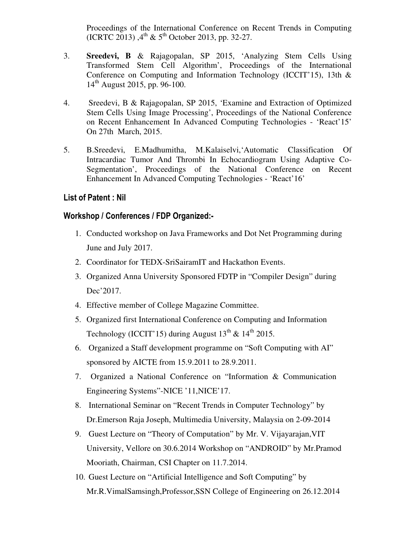Proceedings of the International Conference on Recent Trends in Computing (ICRTC 2013),  $4^{th}$  & 5<sup>th</sup> October 2013, pp. 32-27.

- 3. **Sreedevi, B** & Rajagopalan, SP 2015, 'Analyzing Stem Cells Using Transformed Stem Cell Algorithm', Proceedings of the International Conference on Computing and Information Technology (ICCIT'15), 13th &  $14^{th}$  August 2015, pp. 96-100.
- 4. Sreedevi, B & Rajagopalan, SP 2015, 'Examine and Extraction of Optimized Stem Cells Using Image Processing', Proceedings of the National Conference on Recent Enhancement In Advanced Computing Technologies - 'React'15' On 27th March, 2015.
- 5. B.Sreedevi, E.Madhumitha, M.Kalaiselvi,'Automatic Classification Of Intracardiac Tumor And Thrombi In Echocardiogram Using Adaptive Co-Segmentation', Proceedings of the National Conference on Recent Enhancement In Advanced Computing Technologies - 'React'16'

## **List of Patent : Nil**

### **Workshop / Conferences / FDP Organized:-**

- 1. Conducted workshop on Java Frameworks and Dot Net Programming during June and July 2017.
- 2. Coordinator for TEDX-SriSairamIT and Hackathon Events.
- 3. Organized Anna University Sponsored FDTP in "Compiler Design" during Dec'2017.
- 4. Effective member of College Magazine Committee.
- 5. Organized first International Conference on Computing and Information Technology (ICCIT'15) during August  $13^{th}$  &  $14^{th}$  2015.
- 6. Organized a Staff development programme on "Soft Computing with AI" sponsored by AICTE from 15.9.2011 to 28.9.2011.
- 7. Organized a National Conference on "Information & Communication Engineering Systems"-NICE '11,NICE'17.
- 8. International Seminar on "Recent Trends in Computer Technology" by Dr.Emerson Raja Joseph, Multimedia University, Malaysia on 2-09-2014
- 9. Guest Lecture on "Theory of Computation" by Mr. V. Vijayarajan,VIT University, Vellore on 30.6.2014 Workshop on "ANDROID" by Mr.Pramod Mooriath, Chairman, CSI Chapter on 11.7.2014.
- 10. Guest Lecture on "Artificial Intelligence and Soft Computing" by Mr.R.VimalSamsingh,Professor,SSN College of Engineering on 26.12.2014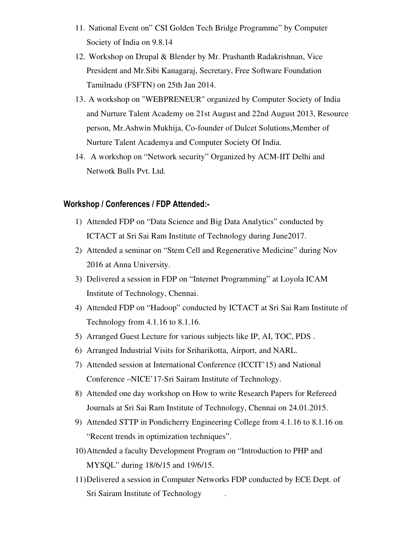- 11. National Event on" CSI Golden Tech Bridge Programme" by Computer Society of India on 9.8.14
- 12. Workshop on Drupal & Blender by Mr. Prashanth Radakrishnan, Vice President and Mr.Sibi Kanagaraj, Secretary, Free Software Foundation Tamilnadu (FSFTN) on 25th Jan 2014.
- 13. A workshop on "WEBPRENEUR" organized by Computer Society of India and Nurture Talent Academy on 21st August and 22nd August 2013, Resource person, Mr.Ashwin Mukhija, Co-founder of Dulcet Solutions,Member of Nurture Talent Academya and Computer Society Of India.
- 14. A workshop on "Network security" Organized by ACM-IIT Delhi and Netwotk Bulls Pvt. Ltd.

### **Workshop / Conferences / FDP Attended:-**

- 1) Attended FDP on "Data Science and Big Data Analytics" conducted by ICTACT at Sri Sai Ram Institute of Technology during June2017.
- 2) Attended a seminar on "Stem Cell and Regenerative Medicine" during Nov 2016 at Anna University.
- 3) Delivered a session in FDP on "Internet Programming" at Loyola ICAM Institute of Technology, Chennai.
- 4) Attended FDP on "Hadoop" conducted by ICTACT at Sri Sai Ram Institute of Technology from 4.1.16 to 8.1.16.
- 5) Arranged Guest Lecture for various subjects like IP, AI, TOC, PDS .
- 6) Arranged Industrial Visits for Sriharikotta, Airport, and NARL.
- 7) Attended session at International Conference (ICCIT'15) and National Conference –NICE'17-Sri Sairam Institute of Technology.
- 8) Attended one day workshop on How to write Research Papers for Refereed Journals at Sri Sai Ram Institute of Technology, Chennai on 24.01.2015.
- 9) Attended STTP in Pondicherry Engineering College from 4.1.16 to 8.1.16 on "Recent trends in optimization techniques".
- 10)Attended a faculty Development Program on "Introduction to PHP and MYSQL" during 18/6/15 and 19/6/15.
- 11)Delivered a session in Computer Networks FDP conducted by ECE Dept. of Sri Sairam Institute of Technology .